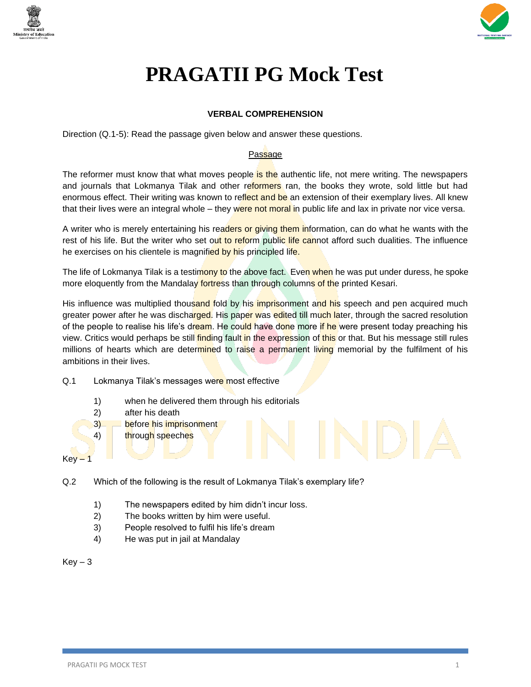



# **PRAGATII PG Mock Test**

# **VERBAL COMPREHENSION**

Direction (Q.1-5): Read the passage given below and answer these questions.

# Passage

The reformer must know that what moves people is the authentic life, not mere writing. The newspapers and journals that Lokmanya Tilak and other reformers ran, the books they wrote, sold little but had enormous effect. Their writing was known to reflect and be an extension of their exemplary lives. All knew that their lives were an integral whole – they were not moral in public life and lax in private nor vice versa.

A writer who is merely entertaining his readers or giving them information, can do what he wants with the rest of his life. But the writer who set out to reform public life cannot afford such dualities. The influence he exercises on his clientele is magnified by his principled life.

The life of Lokmanya Tilak is a testimony to the above fact. Even when he was put under duress, he spoke more eloquently from the Mandalay fortress than through columns of the printed Kesari.

His influence was multiplied thousand fold by his imprisonment and his speech and pen acquired much greater power after he was discharged. His paper was edited till much later, through the sacred resolution of the people to realise his life's dream. He could have done more if he were present today preaching his view. Critics would perhaps be still finding fault in the expression of this or that. But his message still rules millions of hearts which are determined to raise a permanent living memorial by the fulfilment of his ambitions in their lives.

# Q.1 Lokmanya Tilak's messages were most effective

- 1) when he delivered them through his editorials
- 2) after his death
- 3) before his imprisonment
- 4) through speeches

- Q.2 Which of the following is the result of Lokmanya Tilak's exemplary life?
	- 1) The newspapers edited by him didn't incur loss.
	- 2) The books written by him were useful.
	- 3) People resolved to fulfil his life's dream
	- 4) He was put in jail at Mandalay

 $Key - 3$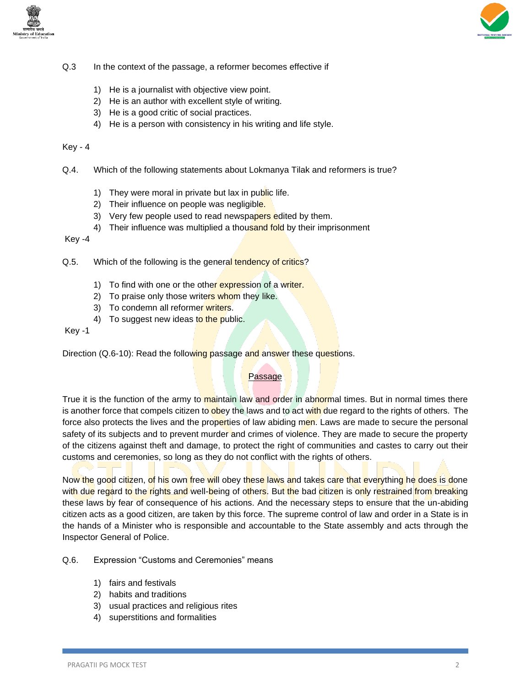



- Q.3 In the context of the passage, a reformer becomes effective if
	- 1) He is a journalist with objective view point.
	- 2) He is an author with excellent style of writing.
	- 3) He is a good critic of social practices.
	- 4) He is a person with consistency in his writing and life style.

- Q.4. Which of the following statements about Lokmanya Tilak and reformers is true?
	- 1) They were moral in private but lax in public life.
	- 2) Their influence on people was negligible.
	- 3) Very few people used to read newspapers edited by them.
	- 4) Their influence was multiplied a thousand fold by their imprisonment

Key -4

- Q.5. Which of the following is the general tendency of critics?
	- 1) To find with one or the other expression of a writer.
	- 2) To praise only those writers whom they like.
	- 3) To condemn all reformer writers.
	- 4) To suggest new ideas to the public.

Key -1

Direction (Q.6-10): Read the following passage and answer these questions.

#### Passage

True it is the function of the army to maintain law and order in abnormal times. But in normal times there is another force that compels citizen to obey the laws and to act with due regard to the rights of others. The force also protects the lives and the properties of law abiding men. Laws are made to secure the personal safety of its subjects and to prevent murder and crimes of violence. They are made to secure the property of the citizens against theft and damage, to protect the right of communities and castes to carry out their customs and ceremonies, so long as they do not conflict with the rights of others.

Now the good citizen, of his own free will obey these laws and takes care that everything he does is done with due regard to the rights and well-being of others. But the bad citizen is only restrained from breaking these laws by fear of consequence of his actions. And the necessary steps to ensure that the un-abiding citizen acts as a good citizen, are taken by this force. The supreme control of law and order in a State is in the hands of a Minister who is responsible and accountable to the State assembly and acts through the Inspector General of Police.

Q.6. Expression "Customs and Ceremonies" means

- 1) fairs and festivals
- 2) habits and traditions
- 3) usual practices and religious rites
- 4) superstitions and formalities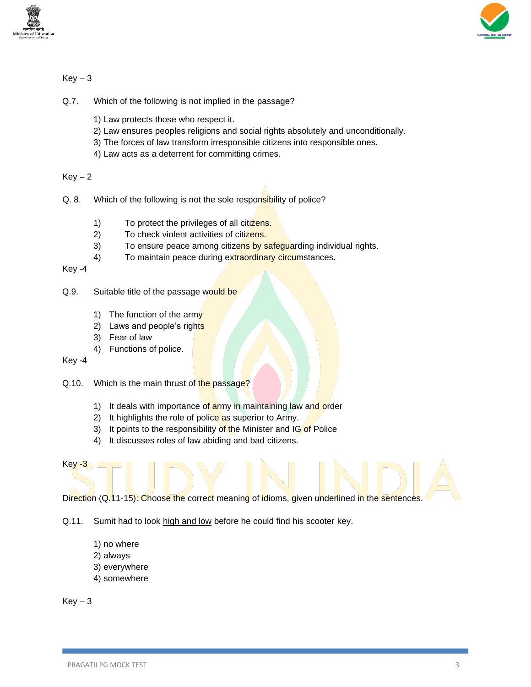



- Q.7. Which of the following is not implied in the passage?
	- 1) Law protects those who respect it.
	- 2) Law ensures peoples religions and social rights absolutely and unconditionally.
	- 3) The forces of law transform irresponsible citizens into responsible ones.
	- 4) Law acts as a deterrent for committing crimes.

 $Key - 2$ 

- Q. 8. Which of the following is not the sole responsibility of police?
	- 1) To protect the privileges of all citizens.
	- 2) To check violent activities of citizens.
	- 3) To ensure peace among citizens by safeguarding individual rights.
	- 4) To maintain peace during extraordinary circumstances.

Key -4

### Q.9. Suitable title of the passage would be

- 1) The function of the army
- 2) Laws and people's rights
- 3) Fear of law
- 4) Functions of police.

Key -4

- Q.10. Which is the main thrust of the passage?
	- 1) It deals with importance of army in maintaining law and order
	- 2) It highlights the role of police as superior to Army.
	- 3) It points to the responsibility of the Minister and IG of Police
	- 4) It discusses roles of law abiding and bad citizens.
- Key -3

Direction (Q.11-15): Choose the correct meaning of idioms, given underlined in the sentences.

- Q.11. Sumit had to look high and low before he could find his scooter key.
	- 1) no where
	- 2) always
	- 3) everywhere
	- 4) somewhere

 $Key-3$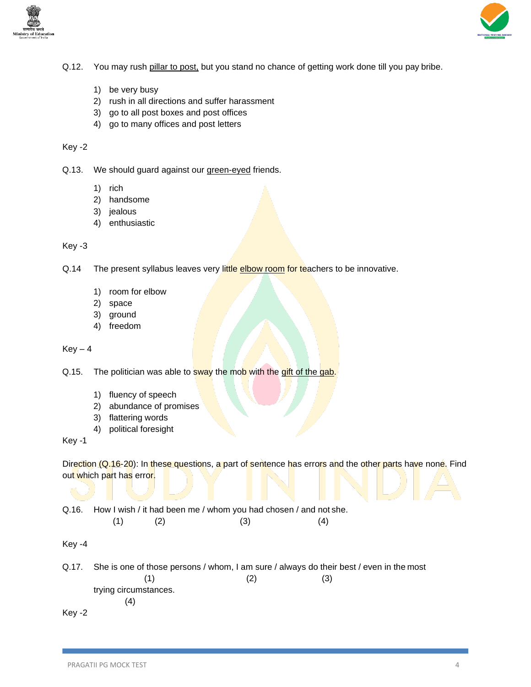



- Q.12. You may rush pillar to post, but you stand no chance of getting work done till you pay bribe.
	- 1) be very busy
	- 2) rush in all directions and suffer harassment
	- 3) go to all post boxes and post offices
	- 4) go to many offices and post letters

Q.13. We should guard against our green-eyed friends.

- 1) rich
- 2) handsome
- 3) jealous
- 4) enthusiastic

## Key -3

Q.14 The present syllabus leaves very little elbow room for teachers to be innovative.

- 1) room for elbow
- 2) space
- 3) ground
- 4) freedom

 $Key - 4$ 

Q.15. The politician was able to sway the mob with the gift of the gab.

- 1) fluency of speech
- 2) abundance of promises
- 3) flattering words
- 4) political foresight

Key -1

Direction (Q.16-20): In these questions, a part of sentence has errors and the other parts have none. Find out which part has error.

Q.16. How I wish / it had been me / whom you had chosen / and not she.

| (1) | (2) | (3) | (4) |
|-----|-----|-----|-----|
|-----|-----|-----|-----|

Key -4

Q.17. She is one of those persons / whom, I am sure / always do their best / even in the most  $(1)$   $(2)$   $(3)$ trying circumstances. (4) Key -2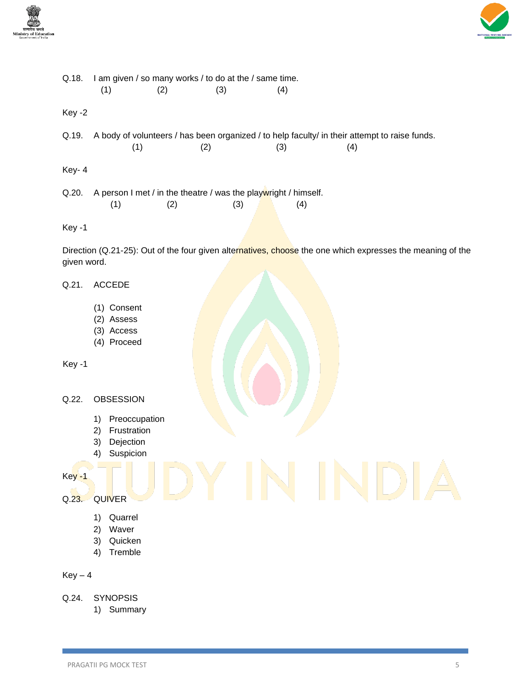



Q.18. I am given / so many works / to do at the / same time.  $(1)$   $(2)$   $(3)$   $(4)$ Key -2 Q.19. A body of volunteers / has been organized / to help faculty/ in their attempt to raise funds.  $(1)$   $(2)$   $(3)$   $(4)$ Key- 4 Q.20. A person I met / in the theatre / was the playwright / himself.  $(1)$   $(2)$   $(3)$   $(4)$ Key -1 Direction (Q.21-25): Out of the four given alternatives, choose the one which expresses the meaning of the

#### Q.21. ACCEDE

given word.

- (1) Consent
- (2) Assess
- (3) Access
- (4) Proceed

```
Key -1
```
#### Q.22. OBSESSION

- 1) Preoccupation
- 2) Frustration
- 3) Dejection
- 4) Suspicion

Key -1

- Q.23. QUIVER
	- 1) Quarrel
	- 2) Waver
	- 3) Quicken
	- 4) Tremble

- Q.24. SYNOPSIS
	- 1) Summary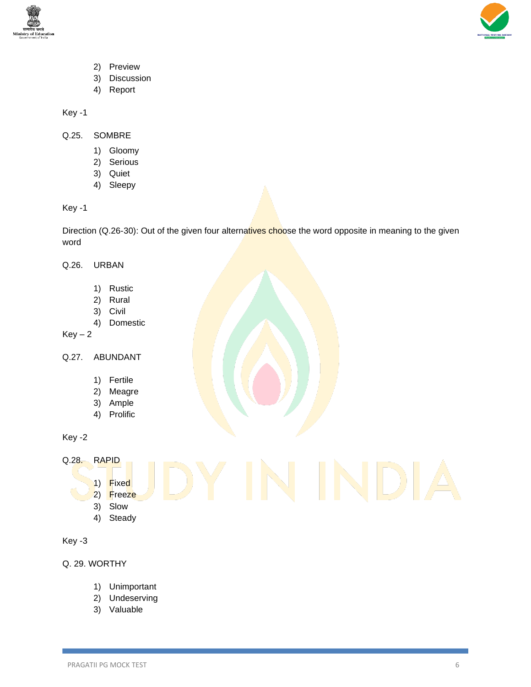



- 2) Preview
- 3) Discussion
- 4) Report

- Q.25. SOMBRE
	- 1) Gloomy
	- 2) Serious
	- 3) Quiet
	- 4) Sleepy

Key -1

Direction (Q.26-30): Out of the given four alternatives choose the word opposite in meaning to the given word

# Q.26. URBAN

- 1) Rustic
- 2) Rural
- 3) Civil
- 4) Domestic

 $Key - 2$ 

- Q.27. ABUNDANT
	- 1) Fertile
	- 2) Meagre
	- 3) Ample
	- 4) Prolific

Key -2

Q.28. RAPID

- 1) Fixed 2) Freeze
- 3) Slow
- 4) Steady

```
Key -3
```
Q. 29. WORTHY

- 1) Unimportant
- 2) Undeserving
- 3) Valuable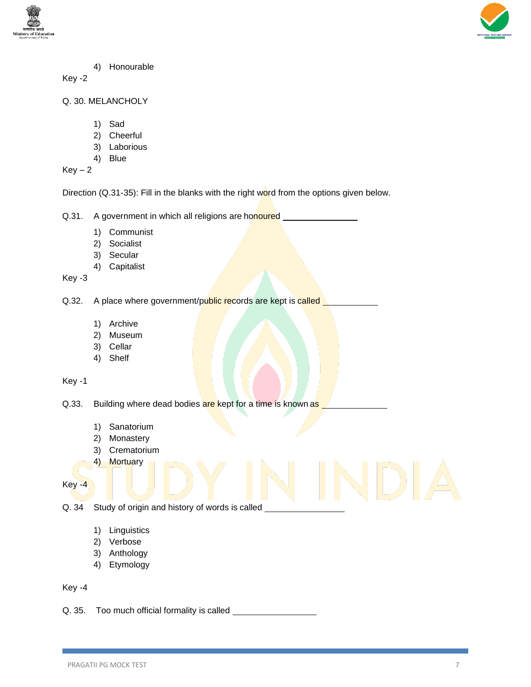



4) Honourable

Key -2

- Q. 30. MELANCHOLY
	- 1) Sad
	- 2) Cheerful
	- 3) Laborious
	- 4) Blue

 $Key - 2$ 

Direction (Q.31-35): Fill in the blanks with the right word from the options given below.

Q.31. A government in which all religions are honoured

- 1) Communist
- 2) Socialist
- 3) Secular
- 4) Capitalist

Key -3

Q.32. A place where government/public records are kept is called

- 1) Archive
- 2) Museum
- 3) Cellar
- 4) Shelf

Key -1

Q.33. Building where dead bodies are kept for a time is known as

- 1) Sanatorium
- 2) Monastery
- 3) Crematorium
- 4) Mortuary

Key -4

Q. 34 Study of origin and history of words is called

- 1) Linguistics
- 2) Verbose
- 3) Anthology
- 4) Etymology

Key -4

Q. 35. Too much official formality is called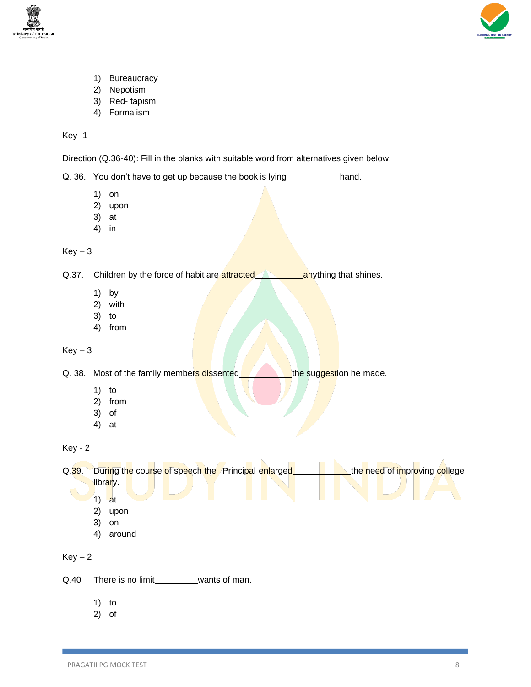



- 1) Bureaucracy
- 2) Nepotism
- 3) Red- tapism
- 4) Formalism

Direction (Q.36-40): Fill in the blanks with suitable word from alternatives given below.

Q. 36. You don't have to get up because the book is lying hand.

- 1) on
- 2) upon
- 3) at
- 4) in

 $Key-3$ 

Q.37. Children by the force of habit are **attracted anything that shines**.

- 1) by
- 2) with
- 3) to
- 4) from

 $Key-3$ 

Q. 38. Most of the family members dissented **the suggestion he made.** 

- 1) to
- 2) from
- 3) of
- 4) at

Key - 2

Q.39. During the course of speech the Principal enlarged **the need of improving college** library.

- $1)$  at
- 2) upon
- 3) on
- 4) around

- Q.40 There is no limit\_\_\_\_\_\_\_\_\_\_ wants of man.
	- 1) to
	- 2) of

 $Key - 2$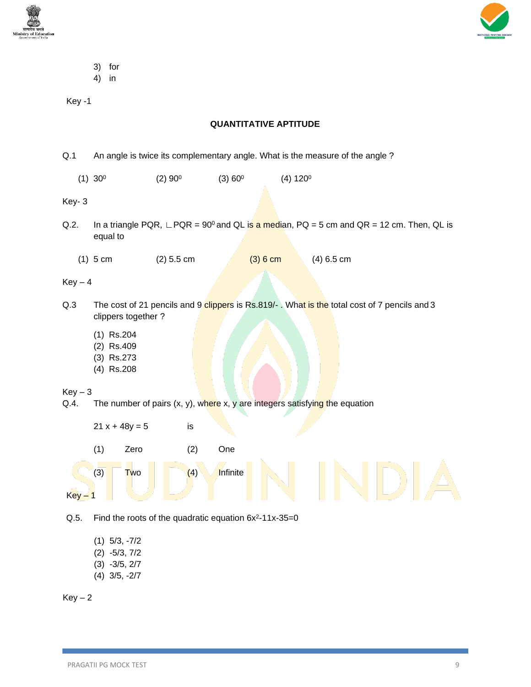



- 3) for
- 4) in

# **QUANTITATIVE APTITUDE**

- Q.1 An angle is twice its complementary angle. What is the measure of the angle ?
	- $(1)$  30<sup>0</sup>  $(2) 90<sup>0</sup>$  $(3) 60<sup>0</sup>$  $(4) 120<sup>0</sup>$

# Key- 3

- Q.2. In a triangle PQR, ∟PQR = 90<sup>0</sup> and QL is a median, PQ = 5 cm and QR = 12 cm. Then, QL is equal to
	- (1) 5 cm (2) 5.5 cm (3) 6 cm (4) 6.5 cm

 $Key - 4$ 

- Q.3 The cost of 21 pencils and 9 clippers is Rs.819/-. What is the total cost of 7 pencils and 3 clippers together ?
	- (1) Rs.204
	- (2) Rs.409
	- (3) Rs.273
	- (4) Rs.208

 $Kev - 3$ 

Q.4. The number of pairs  $(x, y)$ , where x, y are integers satisfying the equation



Q.5. Find the roots of the quadratic equation  $6x^2 - 11x - 35 = 0$ 

- (1) 5/3, -7/2 (2) -5/3, 7/2
- (3) -3/5, 2/7
- (4) 3/5, -2/7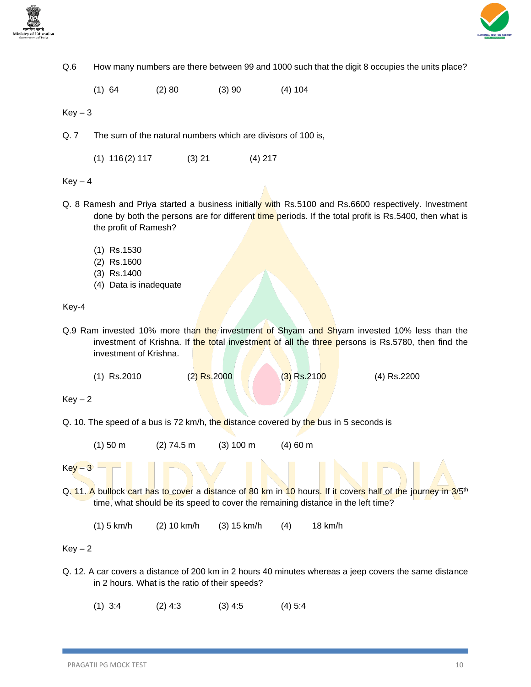



Q.6 How many numbers are there between 99 and 1000 such that the digit 8 occupies the units place?

(1) 64 (2) 80 (3) 90 (4) 104

 $Key - 3$ 

Q. 7 The sum of the natural numbers which are divisors of 100 is,

(1) 116 (2) 117 (3) 21 (4) 217

 $Key - 4$ 

- Q. 8 Ramesh and Priya started a business initially with Rs.5100 and Rs.6600 respectively. Investment done by both the persons are for different time periods. If the total profit is Rs.5400, then what is the profit of Ramesh?
	- (1) Rs.1530
	- (2) Rs.1600
	- (3) Rs.1400
	- (4) Data is inadequate

Key-4

- Q.9 Ram invested 10% more than the investment of Shyam and Shyam invested 10% less than the investment of Krishna. If the total investment of all the three persons is Rs.5780, then find the investment of Krishna.
	- (1) Rs.2010 (2) Rs.2000 (3) Rs.2100 (4) Rs.2200

 $Key - 2$ 

Q. 10. The speed of a bus is 72 km/h, the distance covered by the bus in 5 seconds is

 $(1)$  50 m  $(2)$  74.5 m  $(3)$  100 m  $(4)$  60 m

 $Key - 3$ 

Q. 11. A bullock cart has to cover a distance of 80 km in 10 hours. If it covers half of the journey in 3/5<sup>th</sup> time, what should be its speed to cover the remaining distance in the left time?

(1) 5 km/h (2) 10 km/h (3) 15 km/h (4) 18 km/h

 $Key - 2$ 

Q. 12. A car covers a distance of 200 km in 2 hours 40 minutes whereas a jeep covers the same distance in 2 hours. What is the ratio of their speeds?

(1) 3:4 (2) 4:3 (3) 4:5 (4) 5:4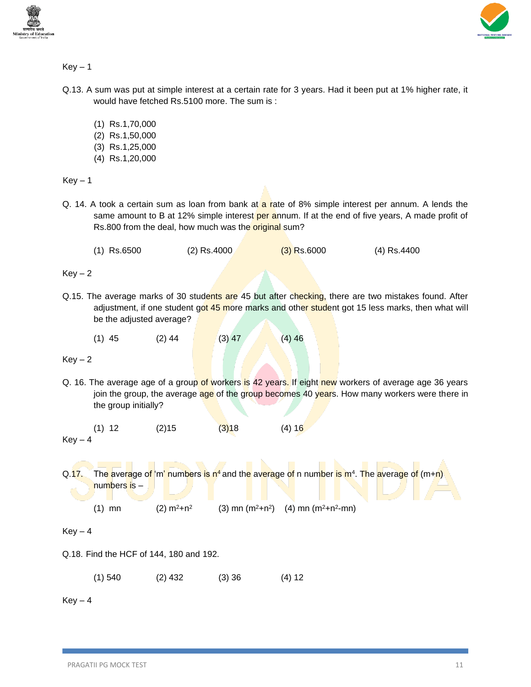



- Q.13. A sum was put at simple interest at a certain rate for 3 years. Had it been put at 1% higher rate, it would have fetched Rs.5100 more. The sum is :
	- (1) Rs.1,70,000
	- (2) Rs.1,50,000
	- (3) Rs.1,25,000
	- (4) Rs.1,20,000

 $Key - 1$ 

- Q. 14. A took a certain sum as loan from bank at a rate of 8% simple interest per annum. A lends the same amount to B at 12% simple interest per annum. If at the end of five years, A made profit of Rs.800 from the deal, how much was the original sum?
	- (1) Rs.6500 (2) Rs.4000 (3) Rs.6000 (4) Rs.4400

 $Key - 2$ 

- Q.15. The average marks of 30 students are 45 but after checking, there are two mistakes found. After adjustment, if one student got 45 more marks and other student got 15 less marks, then what will be the adjusted average?
	- (1) 45 (2) 44 (3) 47 (4) 46

 $Key - 2$ 

Q. 16. The average age of a group of workers is 42 years. If eight new workers of average age 36 years join the group, the average age of the group becomes 40 years. How many workers were there in the group initially?

(1) 12 (2) 15 (3) 18 (4) 16  $Kev - 4$ 

Q.17. The average of 'm' numbers is n<sup>4</sup> and the average of n number is m<sup>4</sup>. The average of (m+n) numbers is –

(1) mn  $(2) m<sup>2</sup>+n<sup>2</sup>$  $(3)$  mn  $(m^2+n^2)$   $(4)$  mn  $(m^2+n^2-mn)$ 

 $Kev - 4$ 

- Q.18. Find the HCF of 144, 180 and 192.
	- (1) 540 (2) 432 (3) 36 (4) 12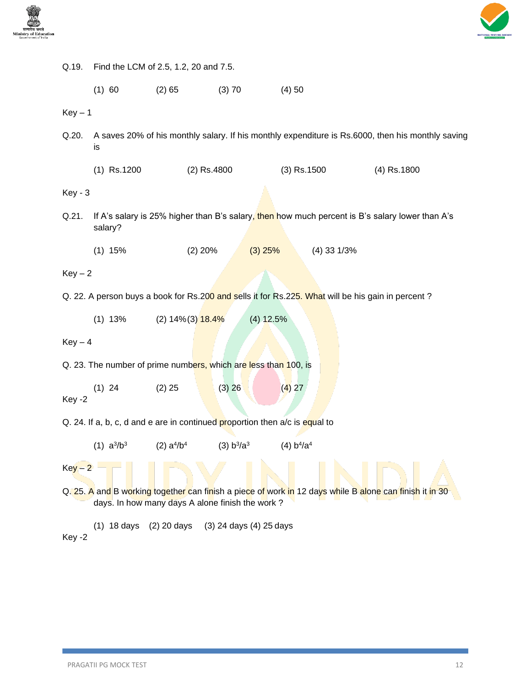



| Q.19.                                                                                                                                                      | Find the LCM of 2.5, 1.2, 20 and 7.5.                                                                      |                                |                                    |               |               |  |  |  |
|------------------------------------------------------------------------------------------------------------------------------------------------------------|------------------------------------------------------------------------------------------------------------|--------------------------------|------------------------------------|---------------|---------------|--|--|--|
|                                                                                                                                                            | (1) 60                                                                                                     | (2) 65                         | (3) 70                             | (4)50         |               |  |  |  |
| $Key - 1$                                                                                                                                                  |                                                                                                            |                                |                                    |               |               |  |  |  |
| Q.20.                                                                                                                                                      | A saves 20% of his monthly salary. If his monthly expenditure is Rs.6000, then his monthly saving<br>İS    |                                |                                    |               |               |  |  |  |
|                                                                                                                                                            | $(1)$ Rs.1200                                                                                              | $(2)$ Rs.4800                  |                                    | $(3)$ Rs.1500 | $(4)$ Rs.1800 |  |  |  |
| <b>Key - 3</b>                                                                                                                                             |                                                                                                            |                                |                                    |               |               |  |  |  |
| Q.21.                                                                                                                                                      | If A's salary is 25% higher than B's salary, then how much percent is B's salary lower than A's<br>salary? |                                |                                    |               |               |  |  |  |
|                                                                                                                                                            | $(1)$ 15%                                                                                                  | $(2)$ 20%                      | $(3)$ 25%                          | $(4)$ 33 1/3% |               |  |  |  |
| $Key-2$                                                                                                                                                    |                                                                                                            |                                |                                    |               |               |  |  |  |
| Q. 22. A person buys a book for Rs.200 and sells it for Rs.225. What will be his gain in percent?                                                          |                                                                                                            |                                |                                    |               |               |  |  |  |
|                                                                                                                                                            | $(1)$ 13%                                                                                                  | (2) 14% (3) <mark>18.4%</mark> | $(4)$ 12.5%                        |               |               |  |  |  |
| $Key-4$                                                                                                                                                    |                                                                                                            |                                |                                    |               |               |  |  |  |
| Q. 23. The number of prime numbers, which are less than 100, is                                                                                            |                                                                                                            |                                |                                    |               |               |  |  |  |
| Key -2                                                                                                                                                     | $(1)$ 24                                                                                                   | $(2)$ 25                       | (3) 26                             | (4) 27        |               |  |  |  |
| Q. 24. If a, b, c, d and e are in continued proportion then a/c is equal to                                                                                |                                                                                                            |                                |                                    |               |               |  |  |  |
|                                                                                                                                                            | $(1)$ a <sup>3</sup> /b <sup>3</sup>                                                                       | (2) $a^{4}/b^{4}$              | (3) b <sup>3</sup> /a <sup>3</sup> | (4) $b^4/a^4$ |               |  |  |  |
| $Key-2$                                                                                                                                                    |                                                                                                            |                                |                                    |               |               |  |  |  |
| Q. 25. A and B working together can finish a piece of work in 12 days while B alone can finish it in 30<br>days. In how many days A alone finish the work? |                                                                                                            |                                |                                    |               |               |  |  |  |
| Key -2                                                                                                                                                     | $(1)$ 18 days                                                                                              | (2) 20 days                    | (3) 24 days (4) 25 days            |               |               |  |  |  |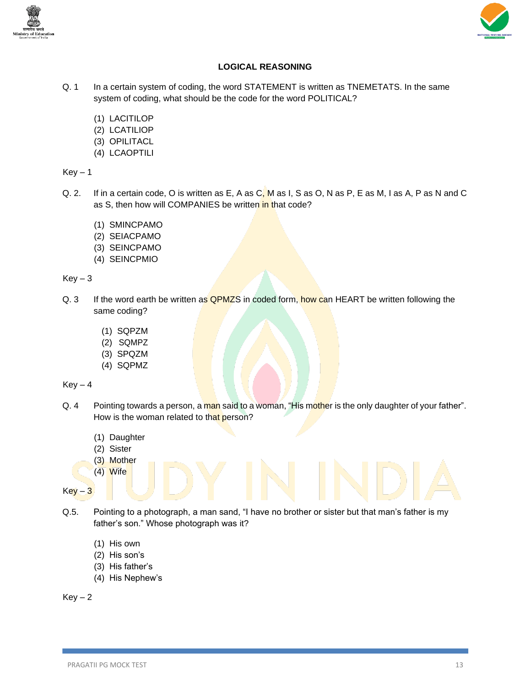



# **LOGICAL REASONING**

- Q. 1 In a certain system of coding, the word STATEMENT is written as TNEMETATS. In the same system of coding, what should be the code for the word POLITICAL?
	- (1) LACITILOP
	- (2) LCATILIOP
	- (3) OPILITACL
	- (4) LCAOPTILI

 $Key - 1$ 

- Q. 2. If in a certain code, O is written as E, A as C, M as I, S as O, N as P, E as M, I as A, P as N and C as S, then how will COMPANIES be written in that code?
	- (1) SMINCPAMO
	- (2) SEIACPAMO
	- (3) SEINCPAMO
	- (4) SEINCPMIO

 $Key - 3$ 

- Q. 3 If the word earth be written as **QPMZS** in coded form, how can HEART be written following the same coding?
	- (1) SQPZM
	- (2) SQMPZ
	- (3) SPQZM
	- (4) SQPMZ

 $Key - 4$ 

- Q. 4 Pointing towards a person, a man said to a woman, "His mother is the only daughter of your father". How is the woman related to that person?
	- (1) Daughter
	- (2) Sister
	- (3) Mother
	- (4) Wife
- $Key 3$
- Q.5. Pointing to a photograph, a man sand, "I have no brother or sister but that man's father is my father's son." Whose photograph was it?
	- (1) His own
	- (2) His son's
	- (3) His father's
	- (4) His Nephew's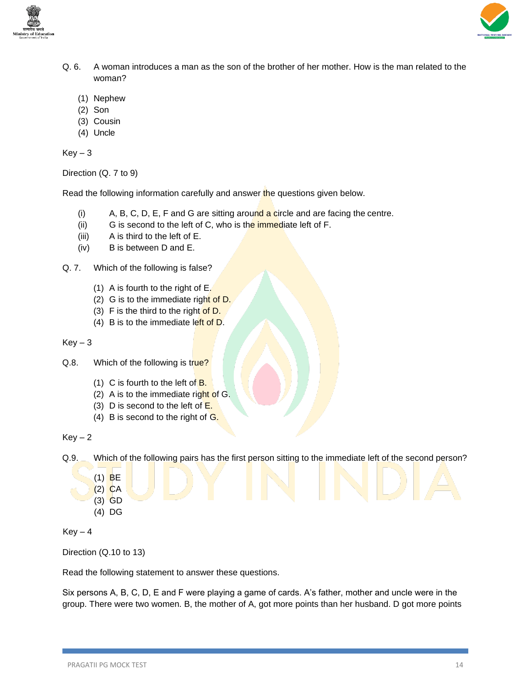



- Q. 6. A woman introduces a man as the son of the brother of her mother. How is the man related to the woman?
	- (1) Nephew
	- (2) Son
	- (3) Cousin
	- (4) Uncle

 $Key-3$ 

Direction (Q. 7 to 9)

Read the following information carefully and answer the questions given below.

- $(i)$  A, B, C, D, E, F and G are sitting around a circle and are facing the centre.
- (ii) G is second to the left of C, who is the immediate left of  $F$ .
- (iii) A is third to the left of E.
- (iv) B is between D and E.
- Q. 7. Which of the following is false?
	- (1) A is fourth to the right of E.
	- (2) G is to the immediate right of D.
	- (3) F is the third to the right of  $D$ .
	- (4) B is to the immediate left of  $D$ .

 $Key - 3$ 

- Q.8. Which of the following is true?
	- (1) C is fourth to the left of  $B$ .
	- (2) A is to the immediate right of  $G$ .
	- (3) D is second to the left of  $E$ .
	- (4) B is second to the right of  $G$ .

 $Key - 2$ 

Q.9. Which of the following pairs has the first person sitting to the immediate left of the second person?

- (1) BE
- $(2)$  CA
- (3) GD
- (4) DG

 $Key - 4$ 

Direction (Q.10 to 13)

Read the following statement to answer these questions.

Six persons A, B, C, D, E and F were playing a game of cards. A's father, mother and uncle were in the group. There were two women. B, the mother of A, got more points than her husband. D got more points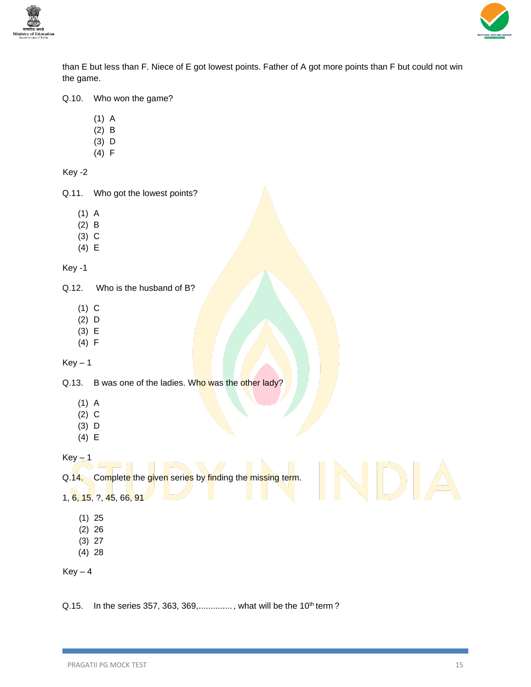



than E but less than F. Niece of E got lowest points. Father of A got more points than F but could not win the game.

### Q.10. Who won the game?

- (1) A
- (2) B
- (3) D
- (4) F

Key -2

Q.11. Who got the lowest points?

- (1) A
- (2) B
- (3) C
- (4) E

Key -1

Q.12. Who is the husband of B?

- (1) C
- (2) D
- (3) E
- (4) F

 $Key - 1$ 

Q.13. B was one of the ladies. Who was the other lady?

- (1) A
- (2) C
- (3) D
- (4) E

 $Key - 1$ 

Q.14. Complete the given series by finding the missing term.

1, 6, 15, ?, 45, 66, 91

- (1) 25
- (2) 26
- (3) 27
- (4) 28

 $Key - 4$ 

Q.15. In the series 357, 363, 369,.............., what will be the 10<sup>th</sup> term?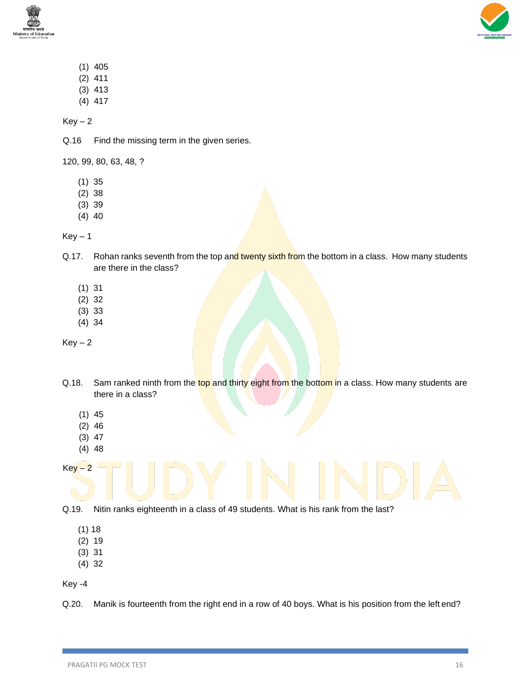



- (1) 405
- (2) 411
- (3) 413 (4) 417
- $Key-2$

Q.16 Find the missing term in the given series.

120, 99, 80, 63, 48, ?

- (1) 35
- (2) 38
- (3) 39
- (4) 40

 $Key - 1$ 

- Q.17. Rohan ranks seventh from the top and twenty sixth from the bottom in a class. How many students are there in the class?
	- (1) 31
	- (2) 32
	- (3) 33
	- (4) 34

 $Key-2$ 

- Q.18. Sam ranked ninth from the top and thirty eight from the bottom in a class. How many students are there in a class?
	- (1) 45
	- (2) 46
	- (3) 47
	- (4) 48

 $Key - 2$ 

Q.19. Nitin ranks eighteenth in a class of 49 students. What is his rank from the last?

- (1) 18
- (2) 19
- (3) 31
- (4) 32

Key -4

Q.20. Manik is fourteenth from the right end in a row of 40 boys. What is his position from the left end?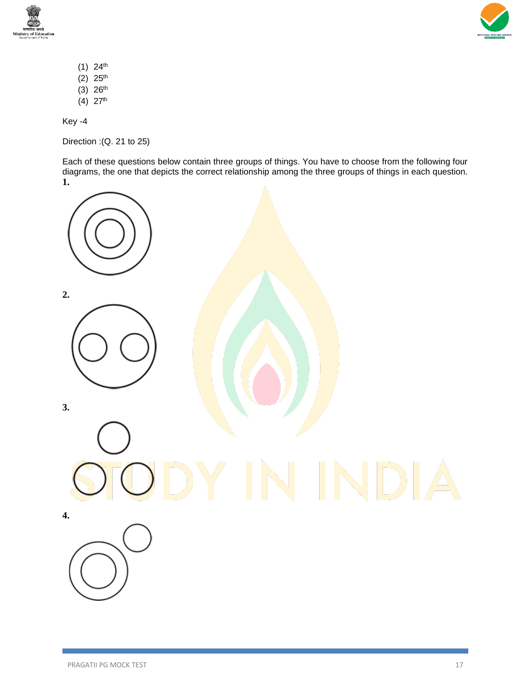



- $(1)$  24<sup>th</sup>
- (2)  $25^{th}$
- $(3)$  26<sup>th</sup> (4) 27th
- 

Direction :(Q. 21 to 25)

Each of these questions below contain three groups of things. You have to choose from the following four diagrams, the one that depicts the correct relationship among the three groups of things in each question. **1.**